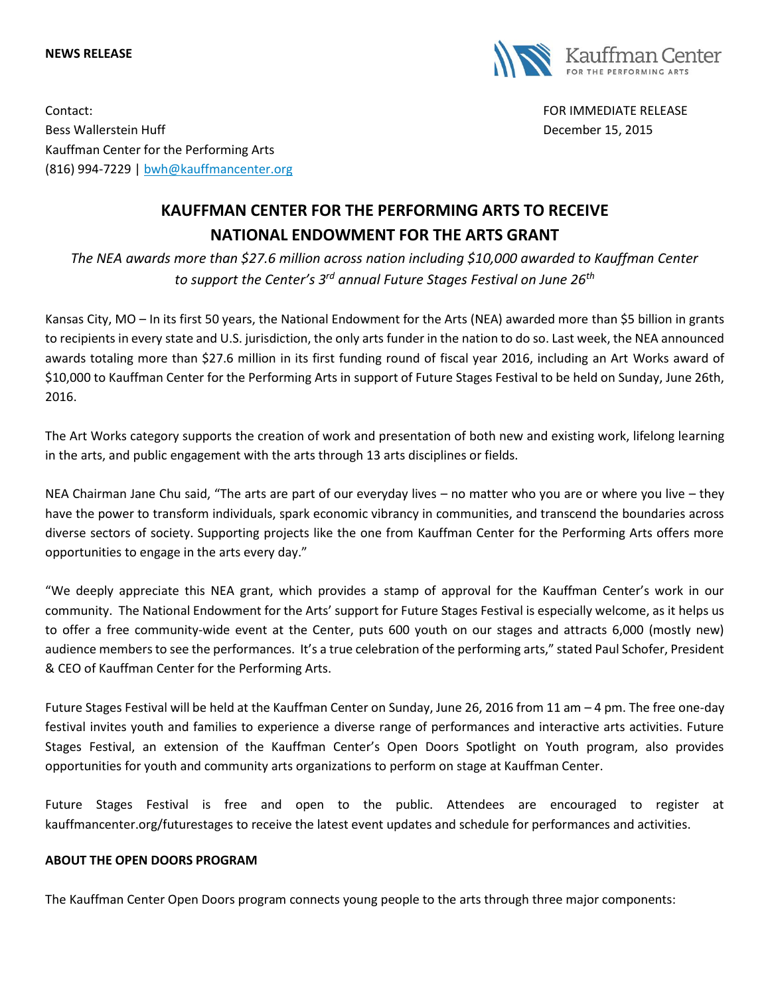## **NEWS RELEASE**



Contact: FOR IMMEDIATE RELEASE Bess Wallerstein Huff December 15, 2015 Kauffman Center for the Performing Arts (816) 994-7229 | [bwh@kauffmancenter.org](mailto:bwh@kauffmancenter.org)

## **KAUFFMAN CENTER FOR THE PERFORMING ARTS TO RECEIVE NATIONAL ENDOWMENT FOR THE ARTS GRANT**

*The NEA awards more than \$27.6 million across nation including \$10,000 awarded to Kauffman Center to support the Center's 3rd annual Future Stages Festival on June 26th*

Kansas City, MO – In its first 50 years, the National Endowment for the Arts (NEA) awarded more than \$5 billion in grants to recipients in every state and U.S. jurisdiction, the only arts funder in the nation to do so. Last week, the NEA announced awards totaling more than \$27.6 million in its first funding round of fiscal year 2016, including an Art Works award of \$10,000 to Kauffman Center for the Performing Arts in support of Future Stages Festival to be held on Sunday, June 26th, 2016.

The Art Works category supports the creation of work and presentation of both new and existing work, lifelong learning in the arts, and public engagement with the arts through 13 arts disciplines or fields.

NEA Chairman Jane Chu said, "The arts are part of our everyday lives – no matter who you are or where you live – they have the power to transform individuals, spark economic vibrancy in communities, and transcend the boundaries across diverse sectors of society. Supporting projects like the one from Kauffman Center for the Performing Arts offers more opportunities to engage in the arts every day."

"We deeply appreciate this NEA grant, which provides a stamp of approval for the Kauffman Center's work in our community. The National Endowment for the Arts' support for Future Stages Festival is especially welcome, as it helps us to offer a free community-wide event at the Center, puts 600 youth on our stages and attracts 6,000 (mostly new) audience members to see the performances. It's a true celebration of the performing arts," stated Paul Schofer, President & CEO of Kauffman Center for the Performing Arts.

Future Stages Festival will be held at the Kauffman Center on Sunday, June 26, 2016 from 11 am – 4 pm. The free one-day festival invites youth and families to experience a diverse range of performances and interactive arts activities. Future Stages Festival, an extension of the Kauffman Center's Open Doors Spotlight on Youth program, also provides opportunities for youth and community arts organizations to perform on stage at Kauffman Center.

Future Stages Festival is free and open to the public. Attendees are encouraged to register at kauffmancenter.org/futurestages to receive the latest event updates and schedule for performances and activities.

## **ABOUT THE OPEN DOORS PROGRAM**

The Kauffman Center Open Doors program connects young people to the arts through three major components: